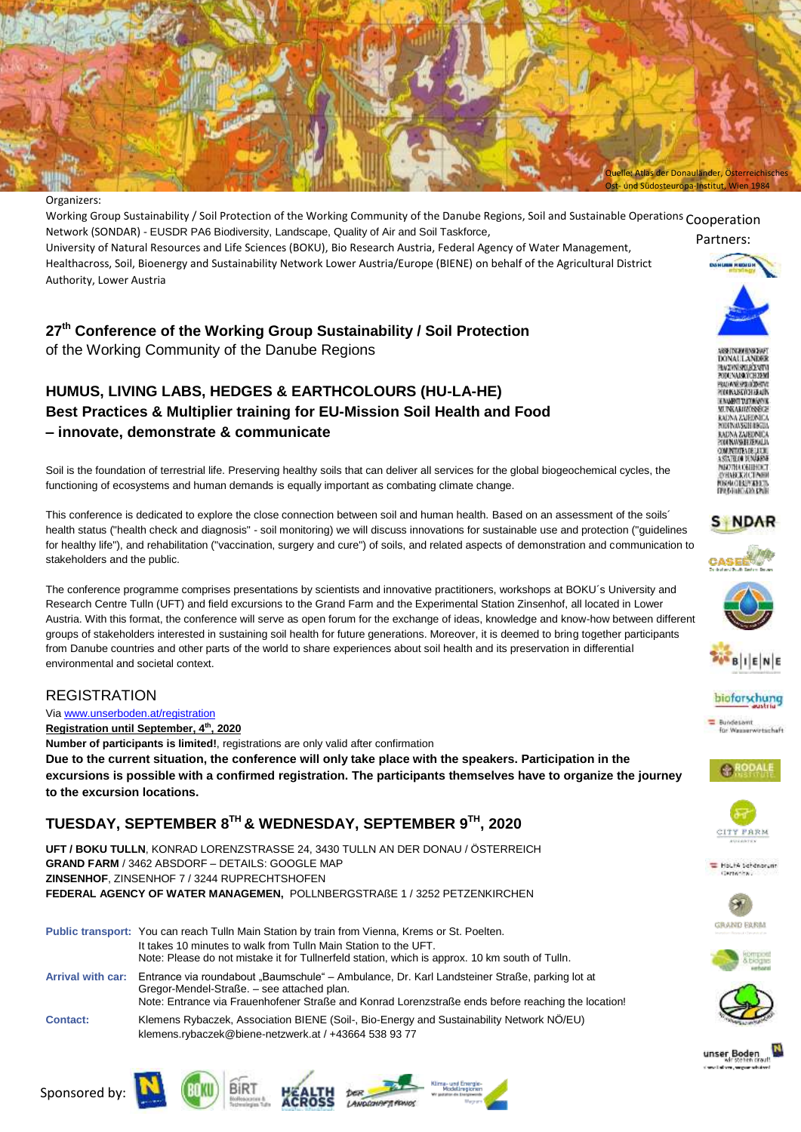

#### Organizers:

Working Group Sustainability / Soil Protection of the Working Community of the Danube Regions, Soil and Sustainable Operations Cooperation Partners: Network (SONDAR) - EUSDR PA6 Biodiversity, Landscape, Quality of Air and Soil Taskforce, University of Natural Resources and Life Sciences (BOKU), Bio Research Austria, Federal Agency of Water Management, Healthacross, Soil, Bioenergy and Sustainability Network Lower Austria/Europe (BIENE) on behalf of the Agricultural District Authority, Lower Austria

### **27th Conference of the Working Group Sustainability / Soil Protection**

of the Working Community of the Danube Regions

## **HUMUS, LIVING LABS, HEDGES & EARTHCOLOURS (HU-LA-HE) Best Practices & Multiplier training for EU-Mission Soil Health and Food – innovate, demonstrate & communicate**

Soil is the foundation of terrestrial life. Preserving healthy soils that can deliver all services for the global biogeochemical cycles, the functioning of ecosystems and human demands is equally important as combating climate change.

This conference is dedicated to explore the close connection between soil and human health. Based on an assessment of the soils´ health status ("health check and diagnosis" - soil monitoring) we will discuss innovations for sustainable use and protection ("guidelines for healthy life"), and rehabilitation ("vaccination, surgery and cure") of soils, and related aspects of demonstration and communication to stakeholders and the public.

The conference programme comprises presentations by scientists and innovative practitioners, workshops at BOKU´s University and Research Centre Tulln (UFT) and field excursions to the Grand Farm and the Experimental Station Zinsenhof, all located in Lower Austria. With this format, the conference will serve as open forum for the exchange of ideas, knowledge and know-how between different groups of stakeholders interested in sustaining soil health for future generations. Moreover, it is deemed to bring together participants from Danube countries and other parts of the world to share experiences about soil health and its preservation in differential environmental and societal context.

#### REGISTRATION

Via [www.unserboden.at/registration](http://www.unserboden.at/registration)

**Registration until September, 4 th, 2020**

**Number of participants is limited!**, registrations are only valid after confirmation **Due to the current situation, the conference will only take place with the speakers. Participation in the excursions is possible with a confirmed registration. The participants themselves have to organize the journey to the excursion locations.**

### **TUESDAY, SEPTEMBER 8 TH & WEDNESDAY, SEPTEMBER 9 TH, 2020**

**UFT / BOKU TULLN**, KONRAD LORENZSTRASSE 24, 3430 TULLN AN DER DONAU / ÖSTERREICH **GRAND FARM** / 3462 ABSDORF – DETAILS: GOOGLE MAP **ZINSENHOF**, ZINSENHOF 7 / 3244 RUPRECHTSHOFEN **FEDERAL AGENCY OF WATER MANAGEMEN,** POLLNBERGSTRAßE 1 / 3252 PETZENKIRCHEN

















#### **S NDAR**





#### bioforschung

**Europeanni** for Wesserwirtschaft













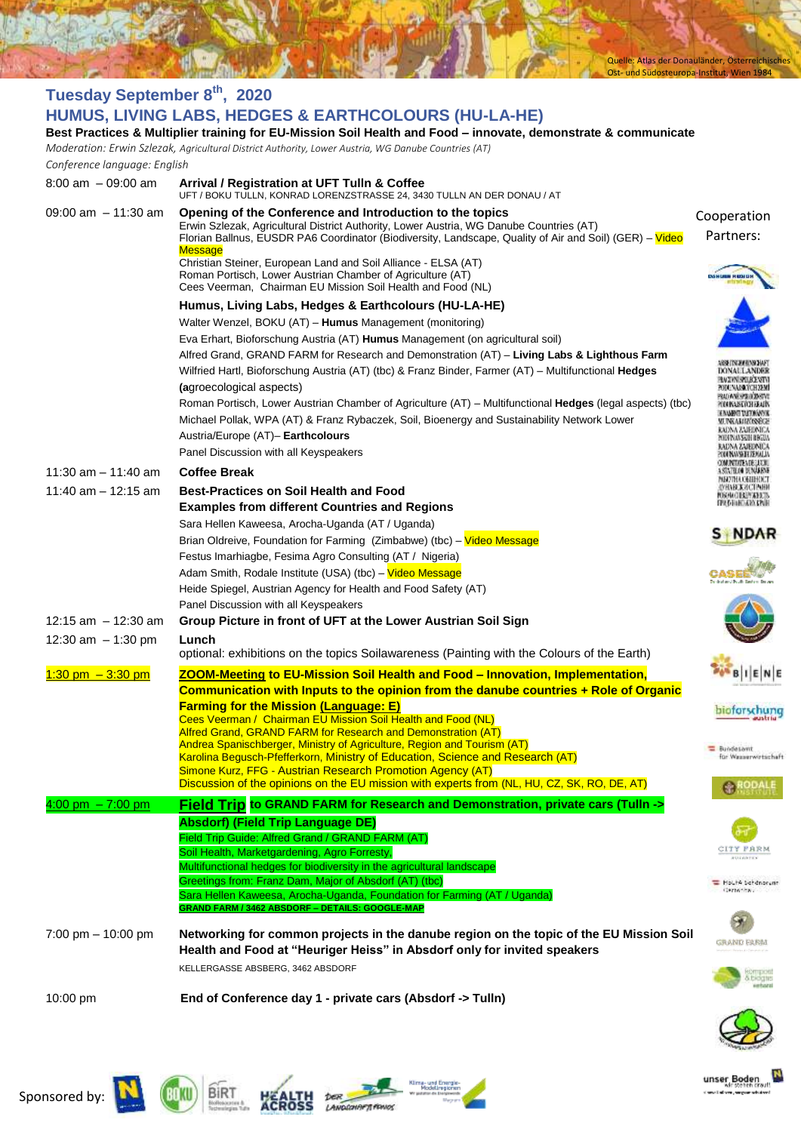Quelle: Atlas der Donauländer, Österreichisches Ost- und Südosteuropa-Institut, Wien 1984

M

unser Boden

of several addresses pass

| Tuesday September 8th, 2020                                                                                    |                                                                                                                                                                                                                                                                                  |                                                                      |  |  |
|----------------------------------------------------------------------------------------------------------------|----------------------------------------------------------------------------------------------------------------------------------------------------------------------------------------------------------------------------------------------------------------------------------|----------------------------------------------------------------------|--|--|
|                                                                                                                | HUMUS, LIVING LABS, HEDGES & EARTHCOLOURS (HU-LA-HE)                                                                                                                                                                                                                             |                                                                      |  |  |
| Best Practices & Multiplier training for EU-Mission Soil Health and Food - innovate, demonstrate & communicate |                                                                                                                                                                                                                                                                                  |                                                                      |  |  |
| Conference language: English                                                                                   | Moderation: Erwin Szlezak, Agricultural District Authority, Lower Austria, WG Danube Countries (AT)                                                                                                                                                                              |                                                                      |  |  |
| $8:00$ am $-09:00$ am                                                                                          |                                                                                                                                                                                                                                                                                  |                                                                      |  |  |
|                                                                                                                | Arrival / Registration at UFT Tulln & Coffee<br>UFT / BOKU TULLN, KONRAD LORENZSTRASSE 24, 3430 TULLN AN DER DONAU / AT                                                                                                                                                          |                                                                      |  |  |
| 09:00 am $-11:30$ am                                                                                           | Opening of the Conference and Introduction to the topics<br>Erwin Szlezak, Agricultural District Authority, Lower Austria, WG Danube Countries (AT)<br>Florian Ballnus, EUSDR PA6 Coordinator (Biodiversity, Landscape, Quality of Air and Soil) (GER) - Video<br><b>Message</b> | Cooperation<br>Partners:                                             |  |  |
|                                                                                                                | Christian Steiner, European Land and Soil Alliance - ELSA (AT)<br>Roman Portisch, Lower Austrian Chamber of Agriculture (AT)<br>Cees Veerman, Chairman EU Mission Soil Health and Food (NL)                                                                                      |                                                                      |  |  |
|                                                                                                                | Humus, Living Labs, Hedges & Earthcolours (HU-LA-HE)                                                                                                                                                                                                                             |                                                                      |  |  |
|                                                                                                                | Walter Wenzel, BOKU (AT) - Humus Management (monitoring)                                                                                                                                                                                                                         |                                                                      |  |  |
|                                                                                                                | Eva Erhart, Bioforschung Austria (AT) Humus Management (on agricultural soil)                                                                                                                                                                                                    |                                                                      |  |  |
|                                                                                                                | Alfred Grand, GRAND FARM for Research and Demonstration (AT) - Living Labs & Lighthous Farm<br>Wilfried Hartl, Bioforschung Austria (AT) (tbc) & Franz Binder, Farmer (AT) - Multifunctional Hedges                                                                              | XINALILANDEI                                                         |  |  |
|                                                                                                                | (agroecological aspects)                                                                                                                                                                                                                                                         | ALIAN SILIOZINI<br>ODUNAISKYCHZEMI                                   |  |  |
|                                                                                                                | Roman Portisch, Lower Austrian Chamber of Agriculture (AT) - Multifunctional Hedges (legal aspects) (tbc)                                                                                                                                                                        | <b>MONTHSHIP</b>                                                     |  |  |
|                                                                                                                | Michael Pollak, WPA (AT) & Franz Rybaczek, Soil, Bioenergy and Sustainability Network Lower                                                                                                                                                                                      | <b>ENAMES DETOINVOS</b><br><b>MUNKAMINSSEC</b>                       |  |  |
|                                                                                                                | Austria/Europe (AT)- Earthcolours                                                                                                                                                                                                                                                | KADNA ZAJEDNICA<br>MINYMASAH BIGAN                                   |  |  |
|                                                                                                                | Panel Discussion with all Keyspeakers                                                                                                                                                                                                                                            | KADNA ZAJEDNICA<br><b>ALIMARE ELEMINION</b><br>COMUNITATE A DE LUCIO |  |  |
| 11:30 am $-$ 11:40 am                                                                                          | <b>Coffee Break</b>                                                                                                                                                                                                                                                              | <b>SINTERN DUNANCE</b><br>MARTHA CANNADI                             |  |  |
| 11:40 am $-$ 12:15 am                                                                                          | <b>Best-Practices on Soil Health and Food</b>                                                                                                                                                                                                                                    | унавжаєтени<br><b>FORFACE ELITTADE TS</b>                            |  |  |
|                                                                                                                | <b>Examples from different Countries and Regions</b>                                                                                                                                                                                                                             | <b>FROHEAD INE</b>                                                   |  |  |
|                                                                                                                | Sara Hellen Kaweesa, Arocha-Uganda (AT / Uganda)                                                                                                                                                                                                                                 |                                                                      |  |  |
|                                                                                                                | Brian Oldreive, Foundation for Farming (Zimbabwe) (tbc) - Video Message                                                                                                                                                                                                          |                                                                      |  |  |
|                                                                                                                | Festus Imarhiagbe, Fesima Agro Consulting (AT / Nigeria)<br>Adam Smith, Rodale Institute (USA) (tbc) - Video Message                                                                                                                                                             |                                                                      |  |  |
|                                                                                                                | Heide Spiegel, Austrian Agency for Health and Food Safety (AT)                                                                                                                                                                                                                   |                                                                      |  |  |
|                                                                                                                | Panel Discussion with all Keyspeakers                                                                                                                                                                                                                                            |                                                                      |  |  |
| 12:15 am $-$ 12:30 am                                                                                          | Group Picture in front of UFT at the Lower Austrian Soil Sign                                                                                                                                                                                                                    |                                                                      |  |  |
| 12:30 am $-1:30$ pm                                                                                            | Lunch                                                                                                                                                                                                                                                                            |                                                                      |  |  |
|                                                                                                                | optional: exhibitions on the topics Soilawareness (Painting with the Colours of the Earth)                                                                                                                                                                                       |                                                                      |  |  |
| $1:30$ pm $-3:30$ pm                                                                                           | ZOOM-Meeting to EU-Mission Soil Health and Food - Innovation, Implementation,<br>Communication with Inputs to the opinion from the danube countries + Role of Organic                                                                                                            | <b>BIENE</b>                                                         |  |  |
|                                                                                                                | <b>Farming for the Mission (Language: E)</b>                                                                                                                                                                                                                                     | bioforschung                                                         |  |  |
|                                                                                                                | Cees Veerman / Chairman EU Mission Soil Health and Food (NL)<br>Alfred Grand, GRAND FARM for Research and Demonstration (AT)                                                                                                                                                     |                                                                      |  |  |
|                                                                                                                | Andrea Spanischberger, Ministry of Agriculture, Region and Tourism (AT)                                                                                                                                                                                                          | <b>E</b> Bundesamt                                                   |  |  |
|                                                                                                                | Karolina Begusch-Pfefferkorn, Ministry of Education, Science and Research (AT)<br>Simone Kurz, FFG - Austrian Research Promotion Agency (AT)                                                                                                                                     | for Wesserwirtschaft                                                 |  |  |
|                                                                                                                | Discussion of the opinions on the EU mission with experts from (NL, HU, CZ, SK, RO, DE, AT)                                                                                                                                                                                      | RODALE                                                               |  |  |
| $4:00$ pm $-7:00$ pm                                                                                           | Field Trip to GRAND FARM for Research and Demonstration, private cars (Tulln ->                                                                                                                                                                                                  |                                                                      |  |  |
|                                                                                                                | <b>Absdorf) (Field Trip Language DE)</b><br>Field Trip Guide: Alfred Grand / GRAND FARM (AT)                                                                                                                                                                                     |                                                                      |  |  |
|                                                                                                                | Soil Health, Marketgardening, Agro Forresty,                                                                                                                                                                                                                                     | <b>TY FARM</b>                                                       |  |  |
|                                                                                                                | Multifunctional hedges for biodiversity in the agricultural landscape                                                                                                                                                                                                            |                                                                      |  |  |
|                                                                                                                | Greetings from: Franz Dam, Major of Absdorf (AT) (tbc)                                                                                                                                                                                                                           | HoutA betenprent<br>Gartwick.                                        |  |  |
|                                                                                                                | Sara Hellen Kaweesa, Arocha-Uganda, Foundation for Farming (AT / Uganda)<br>GRAND FARM / 3462 ABSDORF - DETAILS: GOOGLE-MAP                                                                                                                                                      |                                                                      |  |  |
|                                                                                                                |                                                                                                                                                                                                                                                                                  |                                                                      |  |  |
| 7:00 pm $-$ 10:00 pm                                                                                           | Networking for common projects in the danube region on the topic of the EU Mission Soil<br>Health and Food at "Heuriger Heiss" in Absdorf only for invited speakers                                                                                                              | GRAND FARM                                                           |  |  |
|                                                                                                                | KELLERGASSE ABSBERG, 3462 ABSDORF                                                                                                                                                                                                                                                |                                                                      |  |  |
| 10:00 pm                                                                                                       | End of Conference day 1 - private cars (Absdorf -> Tulln)                                                                                                                                                                                                                        | s dadqir                                                             |  |  |
|                                                                                                                |                                                                                                                                                                                                                                                                                  |                                                                      |  |  |





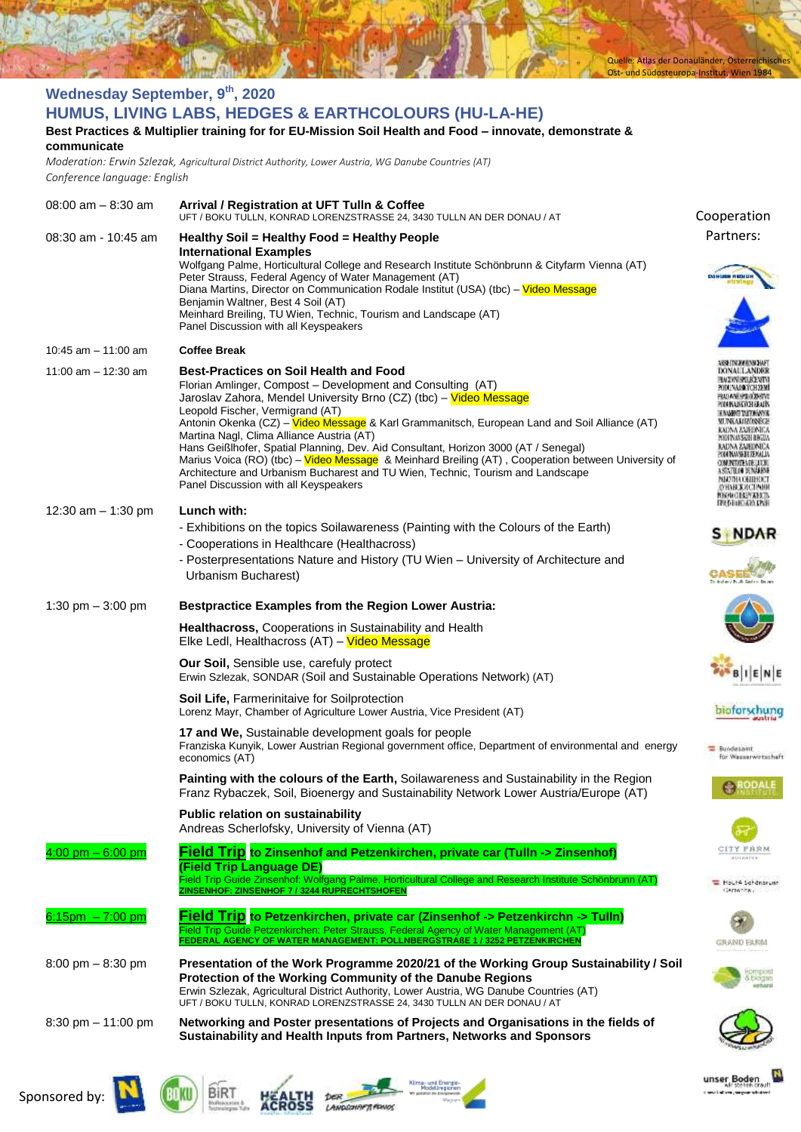|                                                                                                                                     | Ost- und Südosteuropa-Institut, Wien 1984                                                                                                                                              |                                                             |  |  |
|-------------------------------------------------------------------------------------------------------------------------------------|----------------------------------------------------------------------------------------------------------------------------------------------------------------------------------------|-------------------------------------------------------------|--|--|
| <b>Wednesday September, 9th, 2020</b>                                                                                               |                                                                                                                                                                                        |                                                             |  |  |
| HUMUS, LIVING LABS, HEDGES & EARTHCOLOURS (HU-LA-HE)                                                                                |                                                                                                                                                                                        |                                                             |  |  |
| Best Practices & Multiplier training for for EU-Mission Soil Health and Food - innovate, demonstrate &                              |                                                                                                                                                                                        |                                                             |  |  |
| communicate                                                                                                                         |                                                                                                                                                                                        |                                                             |  |  |
| Moderation: Erwin Szlezak, Agricultural District Authority, Lower Austria, WG Danube Countries (AT)<br>Conference language: English |                                                                                                                                                                                        |                                                             |  |  |
|                                                                                                                                     |                                                                                                                                                                                        |                                                             |  |  |
| $08:00$ am $- 8:30$ am                                                                                                              | Arrival / Registration at UFT Tulln & Coffee<br>UFT / BOKU TULLN, KONRAD LORENZSTRASSE 24, 3430 TULLN AN DER DONAU / AT                                                                | Cooperation                                                 |  |  |
| 08:30 am - 10:45 am                                                                                                                 | Healthy Soil = Healthy Food = Healthy People                                                                                                                                           | Partners:                                                   |  |  |
|                                                                                                                                     | <b>International Examples</b>                                                                                                                                                          |                                                             |  |  |
|                                                                                                                                     | Wolfgang Palme, Horticultural College and Research Institute Schönbrunn & Cityfarm Vienna (AT)<br>Peter Strauss, Federal Agency of Water Management (AT)                               |                                                             |  |  |
|                                                                                                                                     | Diana Martins, Director on Communication Rodale Institut (USA) (tbc) – Video Message                                                                                                   |                                                             |  |  |
|                                                                                                                                     | Benjamin Waltner, Best 4 Soil (AT)<br>Meinhard Breiling, TU Wien, Technic, Tourism and Landscape (AT)                                                                                  |                                                             |  |  |
|                                                                                                                                     | Panel Discussion with all Keyspeakers                                                                                                                                                  |                                                             |  |  |
| 10:45 am $-$ 11:00 am                                                                                                               | <b>Coffee Break</b>                                                                                                                                                                    |                                                             |  |  |
| 11:00 am $-$ 12:30 am                                                                                                               | <b>Best-Practices on Soil Health and Food</b>                                                                                                                                          | 89 IN HEYE<br>DONAUL ANDE                                   |  |  |
|                                                                                                                                     | Florian Amlinger, Compost - Development and Consulting (AT)                                                                                                                            | PODUNAJSKYCHZEM<br><b>NUMBER OF STATE</b>                   |  |  |
|                                                                                                                                     | Jaroslav Zahora, Mendel University Brno (CZ) (tbc) – Video Message<br>Leopold Fischer, Vermigrand (AT)                                                                                 | <b>TERNASAN DENGAN</b>                                      |  |  |
|                                                                                                                                     | Antonin Okenka (CZ) - Video Message & Karl Grammanitsch, European Land and Soil Alliance (AT)                                                                                          | <b>ILENGARITA PARCE</b><br>KADNA ZAJEDNICA                  |  |  |
|                                                                                                                                     | Martina Nagl, Clima Alliance Austria (AT)<br>Hans Geißlhofer, Spatial Planning, Dev. Aid Consultant, Horizon 3000 (AT / Senegal)                                                       | TIEN INANSKIH IERGEL<br>RADNA ZAJEDNICA                     |  |  |
|                                                                                                                                     | Marius Voica (RO) (tbc) – Video Message & Meinhard Breiling (AT), Cooperation between University of<br>Architecture and Urbanism Bucharest and TU Wien, Technic, Tourism and Landscape | YANNYAHJEMALA<br>COMUNITATION TELECON<br>ISTATELOO DENAMENT |  |  |
|                                                                                                                                     | Panel Discussion with all Keyspeakers                                                                                                                                                  | MRETHA OBIEHNCI<br>D'HABEKACTEMH                            |  |  |
| 12:30 am - 1:30 pm                                                                                                                  | Lunch with:                                                                                                                                                                            | <b>FORFACIER</b> (FAEE)<br><b>FROHENDINE</b>                |  |  |
|                                                                                                                                     | - Exhibitions on the topics Soilawareness (Painting with the Colours of the Earth)                                                                                                     |                                                             |  |  |
|                                                                                                                                     | - Cooperations in Healthcare (Healthacross)                                                                                                                                            |                                                             |  |  |
|                                                                                                                                     | - Posterpresentations Nature and History (TU Wien - University of Architecture and                                                                                                     |                                                             |  |  |
|                                                                                                                                     | Urbanism Bucharest)                                                                                                                                                                    |                                                             |  |  |
| 1:30 pm $-3:00$ pm                                                                                                                  | <b>Bestpractice Examples from the Region Lower Austria:</b>                                                                                                                            |                                                             |  |  |
|                                                                                                                                     | Healthacross, Cooperations in Sustainability and Health<br>Elke Ledl, Healthacross (AT) - Video Message                                                                                |                                                             |  |  |
|                                                                                                                                     | Our Soil, Sensible use, carefuly protect<br>Erwin Szlezak, SONDAR (Soil and Sustainable Operations Network) (AT)                                                                       | <b>BIENE</b>                                                |  |  |
|                                                                                                                                     | <b>Soil Life, Farmerinitaive for Soilprotection</b><br>Lorenz Mayr, Chamber of Agriculture Lower Austria, Vice President (AT)                                                          | biotorschung                                                |  |  |
|                                                                                                                                     | 17 and We, Sustainable development goals for people                                                                                                                                    |                                                             |  |  |
|                                                                                                                                     | Franziska Kunyik, Lower Austrian Regional government office, Department of environmental and energy<br>economics (AT)                                                                  | <b>E</b> Bundesamt<br>für Wasserwirtschaft                  |  |  |
|                                                                                                                                     | <b>Painting with the colours of the Earth, Soilawareness and Sustainability in the Region</b>                                                                                          |                                                             |  |  |
|                                                                                                                                     | Franz Rybaczek, Soil, Bioenergy and Sustainability Network Lower Austria/Europe (AT)                                                                                                   |                                                             |  |  |
|                                                                                                                                     | <b>Public relation on sustainability</b>                                                                                                                                               |                                                             |  |  |
|                                                                                                                                     | Andreas Scherlofsky, University of Vienna (AT)                                                                                                                                         |                                                             |  |  |
| $4:00$ pm $-6:00$ pm                                                                                                                | Field Trip to Zinsenhof and Petzenkirchen, private car (Tulln -> Zinsenhof)<br>(Field Trip Language DE)                                                                                | CITY FARM<br>A USA ASKER                                    |  |  |
|                                                                                                                                     | .<br>Field Trip Guide Zinsenhof: Wolfgang Palme, Horticultural College and Research Institute Schönbrunn (AT)                                                                          | HoutA behenorunn                                            |  |  |
|                                                                                                                                     | ZINSENHOF: ZINSENHOF 7 / 3244 RUPRECHTSHOFEN                                                                                                                                           | Carterian.                                                  |  |  |
| $6:15$ pm $-7:00$ pm                                                                                                                | Field Trip to Petzenkirchen, private car (Zinsenhof -> Petzenkirchn -> Tulln)                                                                                                          |                                                             |  |  |
|                                                                                                                                     | Field Trip Guide Petzenkirchen: Peter Strauss, Federal Agency of Water Management (AT)<br><u>FEDERAL AGENCY OF WATER MANAGEMENT: POLLNBERGSTRAßE 1 / 3252 PETZENKIRCHEN</u>            | GRAND FARM                                                  |  |  |
| $8:00 \text{ pm} - 8:30 \text{ pm}$                                                                                                 | Presentation of the Work Programme 2020/21 of the Working Group Sustainability / Soil                                                                                                  |                                                             |  |  |
|                                                                                                                                     | Protection of the Working Community of the Danube Regions                                                                                                                              | 5. biogre                                                   |  |  |
|                                                                                                                                     | Erwin Szlezak, Agricultural District Authority, Lower Austria, WG Danube Countries (AT)<br>UFT / BOKU TULLN, KONRAD LORENZSTRASSE 24, 3430 TULLN AN DER DONAU / AT                     |                                                             |  |  |
| $8:30 \text{ pm} - 11:00 \text{ pm}$                                                                                                | Networking and Poster presentations of Projects and Organisations in the fields of                                                                                                     |                                                             |  |  |
|                                                                                                                                     | Sustainability and Health Inputs from Partners, Networks and Sponsors                                                                                                                  |                                                             |  |  |
|                                                                                                                                     |                                                                                                                                                                                        |                                                             |  |  |